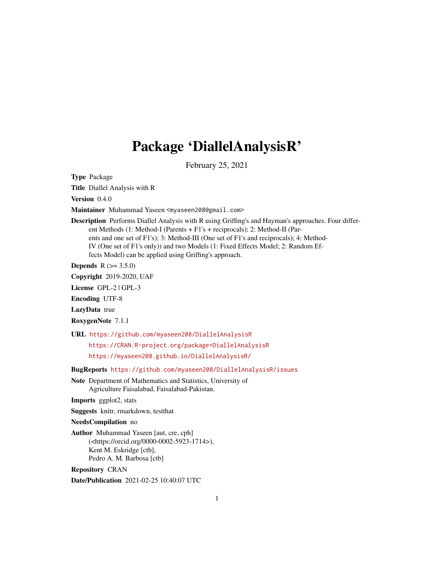# Package 'DiallelAnalysisR'

February 25, 2021

Type Package

Title Diallel Analysis with R

Version 0.4.0

Maintainer Muhammad Yaseen <myaseen208@gmail.com>

Description Performs Diallel Analysis with R using Griffing's and Hayman's approaches. Four different Methods (1: Method-I (Parents + F1's + reciprocals); 2: Method-II (Parents and one set of F1's); 3: Method-III (One set of F1's and reciprocals); 4: Method-IV (One set of F1's only)) and two Models (1: Fixed Effects Model; 2: Random Effects Model) can be applied using Griffing's approach.

**Depends**  $R (= 3.5.0)$ 

Copyright 2019-2020, UAF

License GPL-2 | GPL-3

Encoding UTF-8

LazyData true

RoxygenNote 7.1.1

URL <https://github.com/myaseen208/DiallelAnalysisR>

<https://CRAN.R-project.org/package=DiallelAnalysisR>

<https://myaseen208.github.io/DiallelAnalysisR/>

BugReports <https://github.com/myaseen208/DiallelAnalysisR/issues>

Note Department of Mathematics and Statistics, University of Agriculture Faisalabad, Faisalabad-Pakistan.

Imports ggplot2, stats

Suggests knitr, rmarkdown, testthat

NeedsCompilation no

Author Muhammad Yaseen [aut, cre, cph] (<https://orcid.org/0000-0002-5923-1714>), Kent M. Eskridge [ctb], Pedro A. M. Barbosa [ctb]

Repository CRAN

Date/Publication 2021-02-25 10:40:07 UTC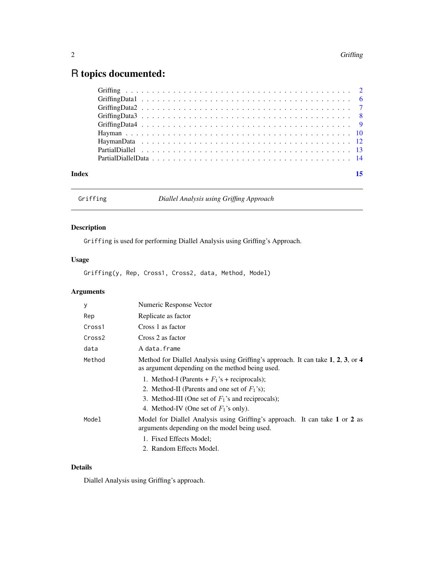## <span id="page-1-0"></span>R topics documented:

| Index |  |
|-------|--|
|       |  |
|       |  |
|       |  |
|       |  |
|       |  |
|       |  |
|       |  |
|       |  |
|       |  |

<span id="page-1-1"></span>

Griffing *Diallel Analysis using Griffing Approach*

### Description

Griffing is used for performing Diallel Analysis using Griffing's Approach.

### Usage

Griffing(y, Rep, Cross1, Cross2, data, Method, Model)

### Arguments

| у                  | Numeric Response Vector                                                                                                                                                                                |
|--------------------|--------------------------------------------------------------------------------------------------------------------------------------------------------------------------------------------------------|
| Rep                | Replicate as factor                                                                                                                                                                                    |
| Cross1             | Cross 1 as factor                                                                                                                                                                                      |
| Cross <sub>2</sub> | Cross 2 as factor                                                                                                                                                                                      |
| data               | A data.frame                                                                                                                                                                                           |
| Method             | Method for Diallel Analysis using Griffing's approach. It can take 1, 2, 3, or 4<br>as argument depending on the method being used.                                                                    |
|                    | 1. Method-I (Parents + $F_1$ 's + reciprocals);<br>2. Method-II (Parents and one set of $F_1$ 's);<br>3. Method-III (One set of $F_1$ 's and reciprocals);<br>4. Method-IV (One set of $F_1$ 's only). |
| Model              | Model for Diallel Analysis using Griffing's approach. It can take 1 or 2 as<br>arguments depending on the model being used.                                                                            |
|                    | 1. Fixed Effects Model;<br>2. Random Effects Model.                                                                                                                                                    |

#### Details

Diallel Analysis using Griffing's approach.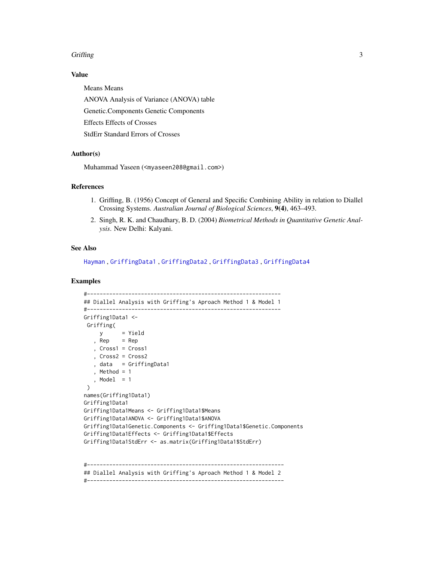#### <span id="page-2-0"></span>Griffing 3

#### Value

Means Means ANOVA Analysis of Variance (ANOVA) table Genetic.Components Genetic Components Effects Effects of Crosses StdErr Standard Errors of Crosses

#### Author(s)

Muhammad Yaseen (<myaseen208@gmail.com>)

#### References

- 1. Griffing, B. (1956) Concept of General and Specific Combining Ability in relation to Diallel Crossing Systems. *Australian Journal of Biological Sciences*, 9(4), 463–493.
- 2. Singh, R. K. and Chaudhary, B. D. (2004) *Biometrical Methods in Quantitative Genetic Analysis*. New Delhi: Kalyani.

#### See Also

[Hayman](#page-9-1) , [GriffingData1](#page-5-1) , [GriffingData2](#page-6-1) , [GriffingData3](#page-7-1) , [GriffingData4](#page-8-1)

#### Examples

```
#-------------------------------------------------------------
## Diallel Analysis with Griffing's Aproach Method 1 & Model 1
#-------------------------------------------------------------
Griffing1Data1 <-
 Griffing(
    y = Yield
   , Rep = Rep, Cross1 = Cross1
   , Cross2 = Cross2
   , data = GriffingData1
   , Method = 1, Model = 1\lambdanames(Griffing1Data1)
Griffing1Data1
Griffing1Data1Means <- Griffing1Data1$Means
Griffing1Data1ANOVA <- Griffing1Data1$ANOVA
Griffing1Data1Genetic.Components <- Griffing1Data1$Genetic.Components
Griffing1Data1Effects <- Griffing1Data1$Effects
Griffing1Data1StdErr <- as.matrix(Griffing1Data1$StdErr)
```
#-------------------------------------------------------------- ## Diallel Analysis with Griffing's Aproach Method 1 & Model 2 #--------------------------------------------------------------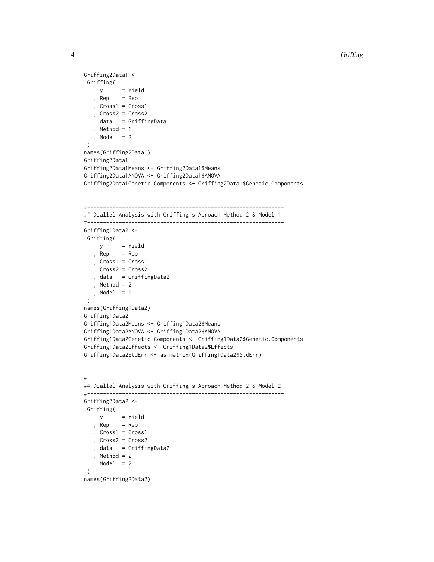```
Griffing2Data1 <-
 Griffing(
   y = Yield<br>, Rep = Rep
         = Rep
   , Cross1 = Cross1
   , Cross2 = Cross2
   , data = GriffingData1
   , Method = 1
  , Model = 2\lambdanames(Griffing2Data1)
Griffing2Data1
Griffing2Data1Means <- Griffing2Data1$Means
Griffing2Data1ANOVA <- Griffing2Data1$ANOVA
Griffing2Data1Genetic.Components <- Griffing2Data1$Genetic.Components
#--------------------------------------------------------------
## Diallel Analysis with Griffing's Aproach Method 2 & Model 1
#--------------------------------------------------------------
Griffing1Data2 <-
Griffing(
    y = Yield
   , Rep = Rep, Cross1 = Cross1
   , Cross2 = Cross2
   , data = GriffingData2
   , Method = 2, Model = 1
 )
names(Griffing1Data2)
Griffing1Data2
Griffing1Data2Means <- Griffing1Data2$Means
Griffing1Data2ANOVA <- Griffing1Data2$ANOVA
Griffing1Data2Genetic.Components <- Griffing1Data2$Genetic.Components
Griffing1Data2Effects <- Griffing1Data2$Effects
Griffing1Data2StdErr <- as.matrix(Griffing1Data2$StdErr)
#--------------------------------------------------------------
## Diallel Analysis with Griffing's Aproach Method 2 & Model 2
#--------------------------------------------------------------
Griffing2Data2 <-
 Griffing(
    y = Yield, Rep = Rep, Cross1 = Cross1
   , Cross2 = Cross2
   , data = GriffingData2
   , Method = 2, Model = 2)
names(Griffing2Data2)
```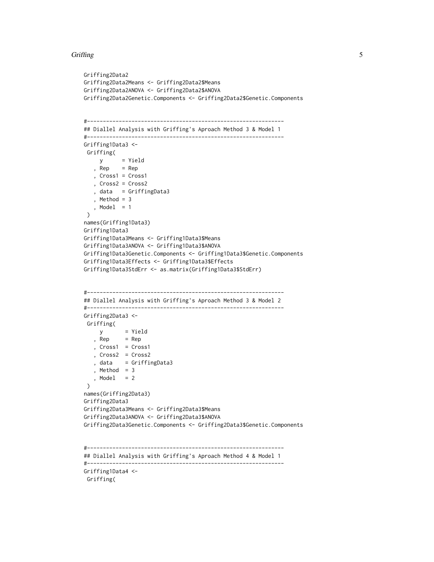#### Griffing 5

```
Griffing2Data2
Griffing2Data2Means <- Griffing2Data2$Means
Griffing2Data2ANOVA <- Griffing2Data2$ANOVA
Griffing2Data2Genetic.Components <- Griffing2Data2$Genetic.Components
#--------------------------------------------------------------
## Diallel Analysis with Griffing's Aproach Method 3 & Model 1
#--------------------------------------------------------------
Griffing1Data3 <-
 Griffing(
    y = Yield
   , Rep = Rep, Cross1 = Cross1
   , Cross2 = Cross2
   , data = GriffingData3
   , Method = 3
   , Model = 1)
names(Griffing1Data3)
Griffing1Data3
Griffing1Data3Means <- Griffing1Data3$Means
Griffing1Data3ANOVA <- Griffing1Data3$ANOVA
Griffing1Data3Genetic.Components <- Griffing1Data3$Genetic.Components
Griffing1Data3Effects <- Griffing1Data3$Effects
Griffing1Data3StdErr <- as.matrix(Griffing1Data3$StdErr)
#--------------------------------------------------------------
## Diallel Analysis with Griffing's Aproach Method 3 & Model 2
#--------------------------------------------------------------
Griffing2Data3 <-
 Griffing(
    y = Yield
   , Rep = Rep
   , Cross1 = Cross1
   , Cross2 = Cross2
   , data = GriffingData3
   , Method = 3, Model = 2)
names(Griffing2Data3)
Griffing2Data3
Griffing2Data3Means <- Griffing2Data3$Means
Griffing2Data3ANOVA <- Griffing2Data3$ANOVA
Griffing2Data3Genetic.Components <- Griffing2Data3$Genetic.Components
#--------------------------------------------------------------
## Diallel Analysis with Griffing's Aproach Method 4 & Model 1
#--------------------------------------------------------------
Griffing1Data4 <-
```
Griffing(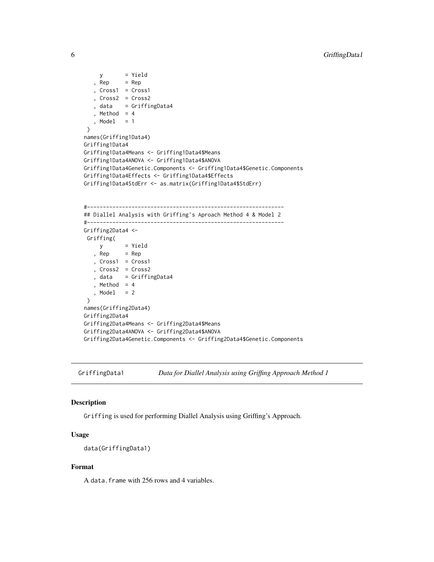```
y = Yield, Rep = Rep, Cross1 = Cross1
   , Cross2 = Cross2
   , data = GriffingData4
   , Method = 4, Model = 1)
names(Griffing1Data4)
Griffing1Data4
Griffing1Data4Means <- Griffing1Data4$Means
Griffing1Data4ANOVA <- Griffing1Data4$ANOVA
Griffing1Data4Genetic.Components <- Griffing1Data4$Genetic.Components
Griffing1Data4Effects <- Griffing1Data4$Effects
Griffing1Data4StdErr <- as.matrix(Griffing1Data4$StdErr)
#--------------------------------------------------------------
## Diallel Analysis with Griffing's Aproach Method 4 & Model 2
#--------------------------------------------------------------
Griffing2Data4 <-
Griffing(
    y = Yield
   , Rep = Rep
   , Cross1 = Cross1
   , Cross2 = Cross2
   , data = GriffingData4
   , Method = 4, Model = 2\mathcal{L}names(Griffing2Data4)
Griffing2Data4
Griffing2Data4Means <- Griffing2Data4$Means
Griffing2Data4ANOVA <- Griffing2Data4$ANOVA
Griffing2Data4Genetic.Components <- Griffing2Data4$Genetic.Components
```
<span id="page-5-1"></span>GriffingData1 *Data for Diallel Analysis using Griffing Approach Method 1*

#### Description

Griffing is used for performing Diallel Analysis using Griffing's Approach.

#### Usage

```
data(GriffingData1)
```
#### Format

A data.frame with 256 rows and 4 variables.

<span id="page-5-0"></span>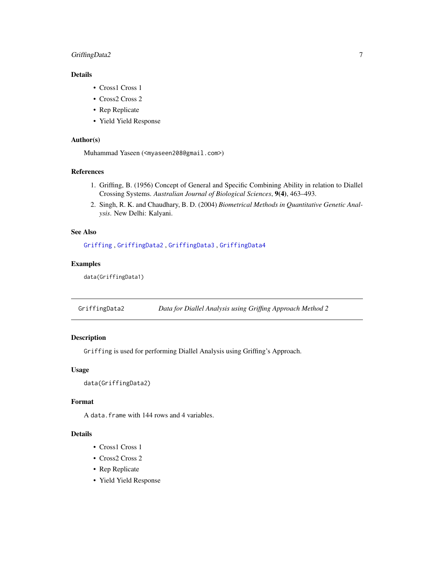#### <span id="page-6-0"></span>GriffingData2 7

#### Details

- Cross1 Cross 1
- Cross2 Cross 2
- Rep Replicate
- Yield Yield Response

#### Author(s)

Muhammad Yaseen (<myaseen208@gmail.com>)

#### References

- 1. Griffing, B. (1956) Concept of General and Specific Combining Ability in relation to Diallel Crossing Systems. *Australian Journal of Biological Sciences*, 9(4), 463–493.
- 2. Singh, R. K. and Chaudhary, B. D. (2004) *Biometrical Methods in Quantitative Genetic Analysis*. New Delhi: Kalyani.

#### See Also

[Griffing](#page-1-1) , [GriffingData2](#page-6-1) , [GriffingData3](#page-7-1) , [GriffingData4](#page-8-1)

#### Examples

data(GriffingData1)

<span id="page-6-1"></span>GriffingData2 *Data for Diallel Analysis using Griffing Approach Method 2*

#### Description

Griffing is used for performing Diallel Analysis using Griffing's Approach.

#### Usage

```
data(GriffingData2)
```
#### Format

A data.frame with 144 rows and 4 variables.

#### Details

- Cross1 Cross 1
- Cross2 Cross 2
- Rep Replicate
- Yield Yield Response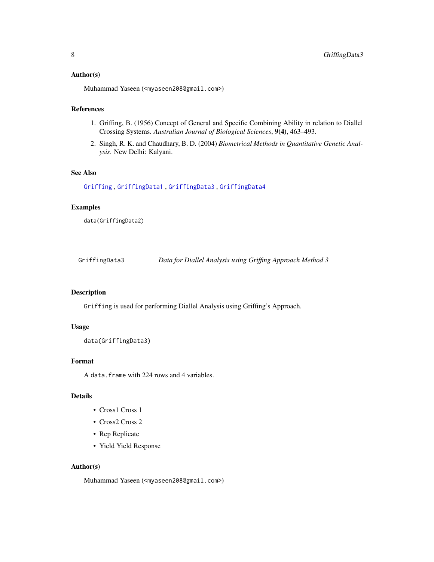#### <span id="page-7-0"></span>Author(s)

Muhammad Yaseen (<myaseen208@gmail.com>)

#### References

- 1. Griffing, B. (1956) Concept of General and Specific Combining Ability in relation to Diallel Crossing Systems. *Australian Journal of Biological Sciences*, 9(4), 463–493.
- 2. Singh, R. K. and Chaudhary, B. D. (2004) *Biometrical Methods in Quantitative Genetic Analysis*. New Delhi: Kalyani.

#### See Also

[Griffing](#page-1-1) , [GriffingData1](#page-5-1) , [GriffingData3](#page-7-1) , [GriffingData4](#page-8-1)

#### Examples

data(GriffingData2)

<span id="page-7-1"></span>GriffingData3 *Data for Diallel Analysis using Griffing Approach Method 3*

#### Description

Griffing is used for performing Diallel Analysis using Griffing's Approach.

#### Usage

```
data(GriffingData3)
```
#### Format

A data.frame with 224 rows and 4 variables.

#### Details

- Cross1 Cross 1
- Cross2 Cross 2
- Rep Replicate
- Yield Yield Response

#### Author(s)

Muhammad Yaseen (<myaseen208@gmail.com>)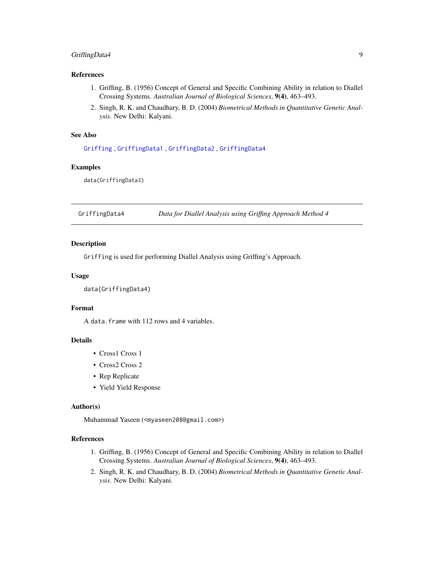#### <span id="page-8-0"></span>GriffingData4 9

#### References

- 1. Griffing, B. (1956) Concept of General and Specific Combining Ability in relation to Diallel Crossing Systems. *Australian Journal of Biological Sciences*, 9(4), 463–493.
- 2. Singh, R. K. and Chaudhary, B. D. (2004) *Biometrical Methods in Quantitative Genetic Analysis*. New Delhi: Kalyani.

#### See Also

[Griffing](#page-1-1) , [GriffingData1](#page-5-1) , [GriffingData2](#page-6-1) , [GriffingData4](#page-8-1)

#### Examples

data(GriffingData3)

<span id="page-8-1"></span>GriffingData4 *Data for Diallel Analysis using Griffing Approach Method 4*

#### Description

Griffing is used for performing Diallel Analysis using Griffing's Approach.

#### Usage

data(GriffingData4)

#### Format

A data.frame with 112 rows and 4 variables.

#### Details

- Cross1 Cross 1
- Cross2 Cross 2
- Rep Replicate
- Yield Yield Response

#### Author(s)

Muhammad Yaseen (<myaseen208@gmail.com>)

#### References

- 1. Griffing, B. (1956) Concept of General and Specific Combining Ability in relation to Diallel Crossing Systems. *Australian Journal of Biological Sciences*, 9(4), 463–493.
- 2. Singh, R. K. and Chaudhary, B. D. (2004) *Biometrical Methods in Quantitative Genetic Analysis*. New Delhi: Kalyani.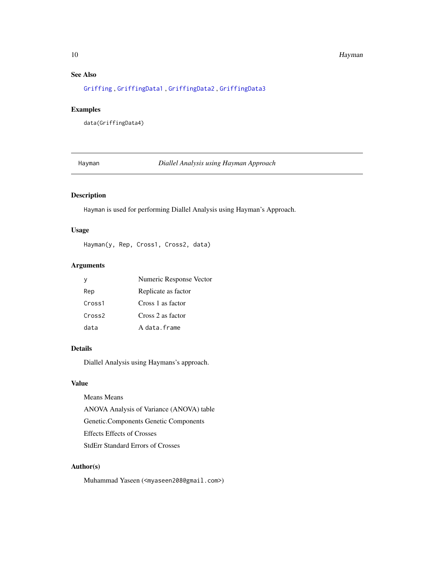#### <span id="page-9-0"></span>10 **Hayman**

#### See Also

[Griffing](#page-1-1) , [GriffingData1](#page-5-1) , [GriffingData2](#page-6-1) , [GriffingData3](#page-7-1)

#### Examples

data(GriffingData4)

<span id="page-9-1"></span>Hayman *Diallel Analysis using Hayman Approach*

#### Description

Hayman is used for performing Diallel Analysis using Hayman's Approach.

#### Usage

Hayman(y, Rep, Cross1, Cross2, data)

#### Arguments

| V                  | Numeric Response Vector |
|--------------------|-------------------------|
| Rep                | Replicate as factor     |
| Cross1             | Cross 1 as factor       |
| Cross <sub>2</sub> | Cross 2 as factor       |
| data               | A data frame            |

#### Details

Diallel Analysis using Haymans's approach.

#### Value

Means Means ANOVA Analysis of Variance (ANOVA) table Genetic.Components Genetic Components Effects Effects of Crosses StdErr Standard Errors of Crosses

#### Author(s)

Muhammad Yaseen (<myaseen208@gmail.com>)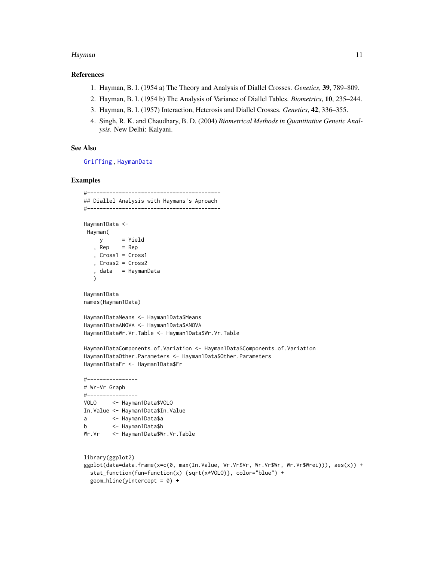#### <span id="page-10-0"></span>Hayman 11

#### References

- 1. Hayman, B. I. (1954 a) The Theory and Analysis of Diallel Crosses. *Genetics*, 39, 789–809.
- 2. Hayman, B. I. (1954 b) The Analysis of Variance of Diallel Tables. *Biometrics*, 10, 235–244.
- 3. Hayman, B. I. (1957) Interaction, Heterosis and Diallel Crosses. *Genetics*, 42, 336–355.
- 4. Singh, R. K. and Chaudhary, B. D. (2004) *Biometrical Methods in Quantitative Genetic Analysis*. New Delhi: Kalyani.

#### See Also

[Griffing](#page-1-1) , [HaymanData](#page-11-1)

#### Examples

```
#------------------------------------------
## Diallel Analysis with Haymans's Aproach
#------------------------------------------
Hayman1Data <-
Hayman(
    y = Yield
  , Rep = Rep, Cross1 = Cross1
  , Cross2 = Cross2
   , data = HaymanData
  )
Hayman1Data
names(Hayman1Data)
Hayman1DataMeans <- Hayman1Data$Means
Hayman1DataANOVA <- Hayman1Data$ANOVA
Hayman1DataWr.Vr.Table <- Hayman1Data$Wr.Vr.Table
Hayman1DataComponents.of.Variation <- Hayman1Data$Components.of.Variation
Hayman1DataOther.Parameters <- Hayman1Data$Other.Parameters
Hayman1DataFr <- Hayman1Data$Fr
#----------------
# Wr-Vr Graph
#----------------
VOLO <- Hayman1Data$VOLO
In.Value <- Hayman1Data$In.Value
a <- Hayman1Data$a
b <- Hayman1Data$b
Wr.Vr <- Hayman1Data$Wr.Vr.Table
library(ggplot2)
ggplot(data=data.frame(x=c(0, max(In.Value, Wr.Vr$Vr, Wr.Vr$Wr, Wr.Vr$Wrei))), aes(x)) +
 stat_function(fun=function(x) {sqrt(x*VOLO)}, color="blue") +
```

```
geom\_hline(yintercept = 0) +
```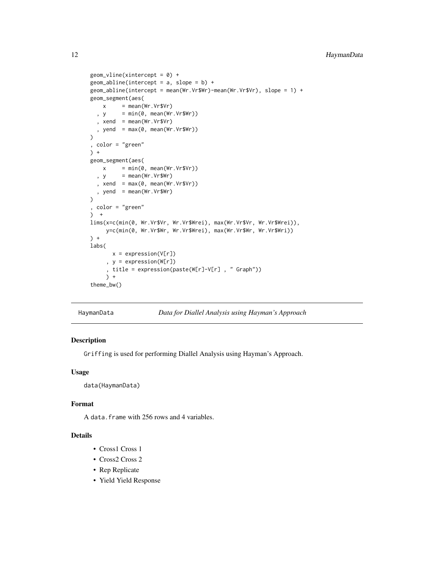```
geom\_vline(xintercept = 0) +geom_abline(intercept = a, slope = b) +
geom_abline(intercept = mean(Wr.Vr$Wr)-mean(Wr.Vr$Vr), slope = 1) +
geom_segment(aes(
   x = mean(Wr.Vr$Vr), y = min(0, mean(Wr.Vr$Wr)), xend = mean(Wr.Vr$Vr), yend = max(0, mean(Wr.Vr$Wr))
\lambda, color = "green"
) +
geom_segment(aes(
   x = min(\emptyset, mean(Wr.Vr$Vr)), y = mean(Wr.Vr$Wr), xend = max(0, mean(Wr.Vr$Vr)), yend = mean(Wr.Vr$Wr)
)
, color = "green"
) +lims(x=c(min(0, Wr.Vr$Vr, Wr.Vr$Wrei), max(Wr.Vr$Vr, Wr.Vr$Wrei)),
    y=c(min(0, Wr.Vr$Wr, Wr.Vr$Wrei), max(Wr.Vr$Wr, Wr.Vr$Wri))
) +labs(
      x = expression(V[r]), y = expression(W[r])
     , title = expression(paste(W[r]-V[r] , " Graph"))
    ) +
theme_bw()
```
<span id="page-11-1"></span>

HaymanData *Data for Diallel Analysis using Hayman's Approach*

#### Description

Griffing is used for performing Diallel Analysis using Hayman's Approach.

#### Usage

data(HaymanData)

#### Format

A data.frame with 256 rows and 4 variables.

#### Details

- Cross1 Cross 1
- Cross2 Cross 2
- Rep Replicate
- Yield Yield Response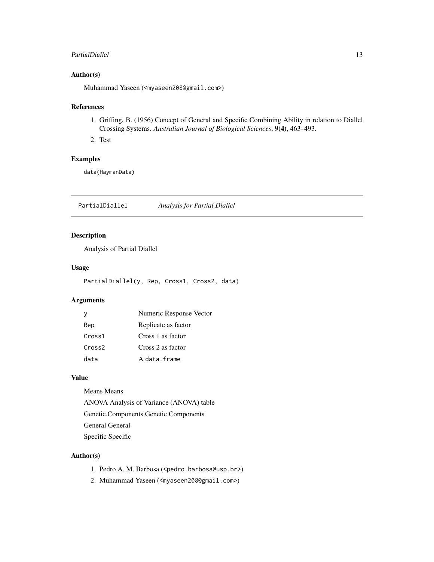#### <span id="page-12-0"></span>PartialDiallel 13

#### Author(s)

Muhammad Yaseen (<myaseen208@gmail.com>)

#### References

- 1. Griffing, B. (1956) Concept of General and Specific Combining Ability in relation to Diallel Crossing Systems. *Australian Journal of Biological Sciences*, 9(4), 463–493.
- 2. Test

#### Examples

data(HaymanData)

<span id="page-12-1"></span>PartialDiallel *Analysis for Partial Diallel*

#### Description

Analysis of Partial Diallel

#### Usage

PartialDiallel(y, Rep, Cross1, Cross2, data)

#### Arguments

| v                  | Numeric Response Vector |
|--------------------|-------------------------|
| Rep                | Replicate as factor     |
| Cross1             | Cross 1 as factor       |
| Cross <sub>2</sub> | Cross 2 as factor       |
| data               | A data frame            |

#### Value

Means Means

ANOVA Analysis of Variance (ANOVA) table

Genetic.Components Genetic Components

- General General
- Specific Specific

#### Author(s)

- 1. Pedro A. M. Barbosa (<pedro.barbosa@usp.br>)
- 2. Muhammad Yaseen (<myaseen208@gmail.com>)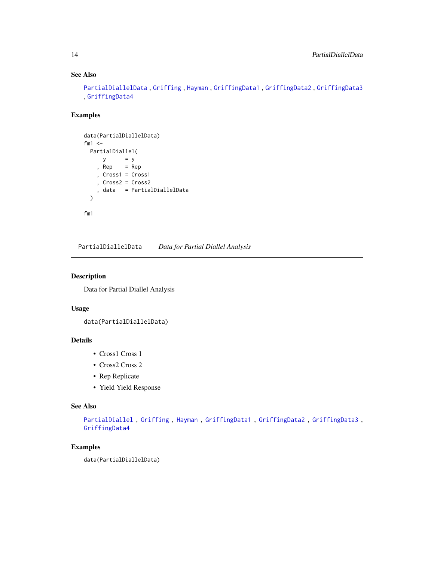### See Also

```
PartialDiallelData , Griffing , Hayman , GriffingData1 , GriffingData2 , GriffingData3
, GriffingData4
```
#### Examples

```
data(PartialDiallelData)
fm1 < -PartialDiallel(
     y = y, Rep = Rep, Cross1 = Cross1
    , Cross2 = Cross2
    , data = PartialDiallelData
  \mathcal{L}fm1
```
<span id="page-13-1"></span>PartialDiallelData *Data for Partial Diallel Analysis*

#### Description

Data for Partial Diallel Analysis

#### Usage

```
data(PartialDiallelData)
```
#### Details

- Cross1 Cross 1
- Cross2 Cross 2
- Rep Replicate
- Yield Yield Response

#### See Also

```
PartialDiallel , Griffing , Hayman , GriffingData1 , GriffingData2 , GriffingData3 ,
GriffingData4
```
#### Examples

data(PartialDiallelData)

<span id="page-13-0"></span>